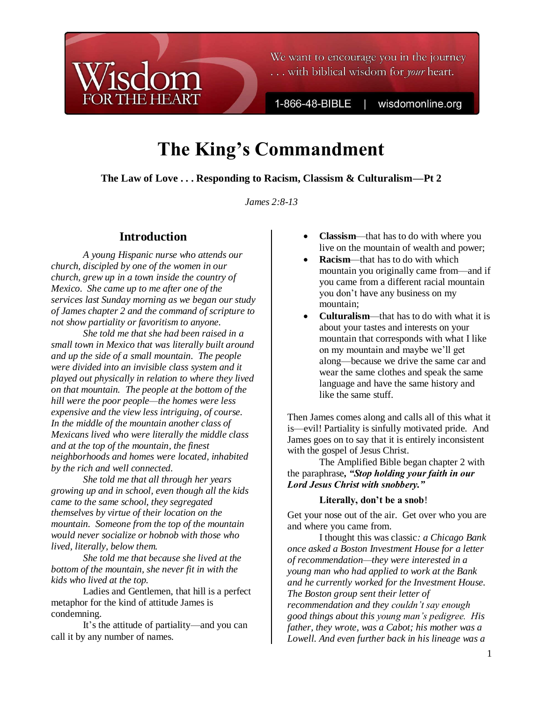

We want to encourage you in the journey ... with biblical wisdom for *your* heart.

1-866-48-BIBLE

wisdomonline.org

# **The King's Commandment**

**The Law of Love . . . Responding to Racism, Classism & Culturalism—Pt 2**

*James 2:8-13*

# **Introduction**

*A young Hispanic nurse who attends our church, discipled by one of the women in our church, grew up in a town inside the country of Mexico. She came up to me after one of the services last Sunday morning as we began our study of James chapter 2 and the command of scripture to not show partiality or favoritism to anyone.* 

*She told me that she had been raised in a small town in Mexico that was literally built around and up the side of a small mountain. The people were divided into an invisible class system and it played out physically in relation to where they lived on that mountain. The people at the bottom of the hill were the poor people—the homes were less expensive and the view less intriguing, of course. In the middle of the mountain another class of Mexicans lived who were literally the middle class and at the top of the mountain, the finest neighborhoods and homes were located, inhabited by the rich and well connected.* 

*She told me that all through her years growing up and in school, even though all the kids came to the same school, they segregated themselves by virtue of their location on the mountain. Someone from the top of the mountain would never socialize or hobnob with those who lived, literally, below them.*

*She told me that because she lived at the bottom of the mountain, she never fit in with the kids who lived at the top.*

Ladies and Gentlemen, that hill is a perfect metaphor for the kind of attitude James is condemning.

It's the attitude of partiality—and you can call it by any number of names.

- **Classism**—that has to do with where you live on the mountain of wealth and power;
- **Racism**—that has to do with which mountain you originally came from—and if you came from a different racial mountain you don"t have any business on my mountain;
- **Culturalism**—that has to do with what it is about your tastes and interests on your mountain that corresponds with what I like on my mountain and maybe we"ll get along—because we drive the same car and wear the same clothes and speak the same language and have the same history and like the same stuff.

Then James comes along and calls all of this what it is—evil! Partiality is sinfully motivated pride. And James goes on to say that it is entirely inconsistent with the gospel of Jesus Christ.

The Amplified Bible began chapter 2 with the paraphrase*, "Stop holding your faith in our Lord Jesus Christ with snobbery."*

### **Literally, don't be a snob**!

Get your nose out of the air. Get over who you are and where you came from.

I thought this was classic*: a Chicago Bank once asked a Boston Investment House for a letter of recommendation—they were interested in a young man who had applied to work at the Bank and he currently worked for the Investment House. The Boston group sent their letter of recommendation and they couldn't say enough good things about this young man's pedigree. His father, they wrote, was a Cabot; his mother was a Lowell. And even further back in his lineage was a*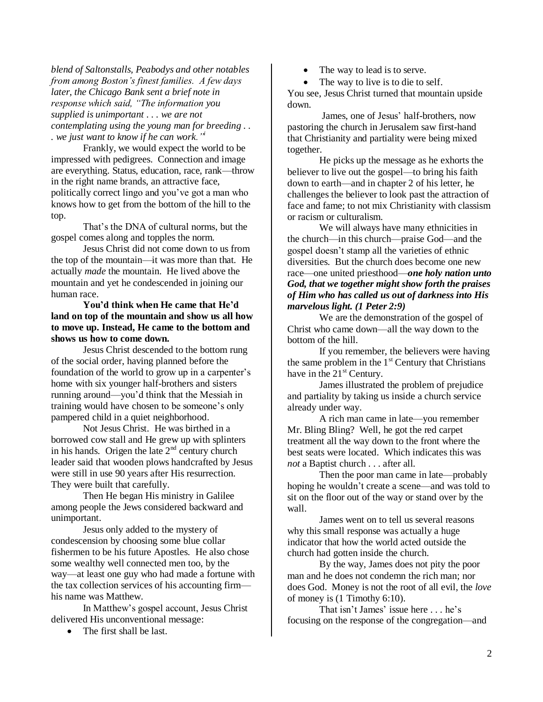*blend of Saltonstalls, Peabodys and other notables from among Boston's finest families. A few days later, the Chicago Bank sent a brief note in response which said, "The information you supplied is unimportant . . . we are not contemplating using the young man for breeding . . . we just want to know if he can work."<sup>i</sup>*

Frankly, we would expect the world to be impressed with pedigrees. Connection and image are everything. Status, education, race, rank—throw in the right name brands, an attractive face, politically correct lingo and you"ve got a man who knows how to get from the bottom of the hill to the top.

That's the DNA of cultural norms, but the gospel comes along and topples the norm.

Jesus Christ did not come down to us from the top of the mountain—it was more than that. He actually *made* the mountain. He lived above the mountain and yet he condescended in joining our human race.

**You'd think when He came that He'd land on top of the mountain and show us all how to move up. Instead, He came to the bottom and shows us how to come down.** 

Jesus Christ descended to the bottom rung of the social order, having planned before the foundation of the world to grow up in a carpenter's home with six younger half-brothers and sisters running around—you"d think that the Messiah in training would have chosen to be someone"s only pampered child in a quiet neighborhood.

Not Jesus Christ. He was birthed in a borrowed cow stall and He grew up with splinters in his hands. Origen the late  $2<sup>nd</sup>$  century church leader said that wooden plows handcrafted by Jesus were still in use 90 years after His resurrection. They were built that carefully.

Then He began His ministry in Galilee among people the Jews considered backward and unimportant.

Jesus only added to the mystery of condescension by choosing some blue collar fishermen to be his future Apostles. He also chose some wealthy well connected men too, by the way—at least one guy who had made a fortune with the tax collection services of his accounting firm his name was Matthew.

In Matthew"s gospel account, Jesus Christ delivered His unconventional message:

• The first shall be last.

- The way to lead is to serve.
- The way to live is to die to self.

You see, Jesus Christ turned that mountain upside down.

James, one of Jesus" half-brothers, now pastoring the church in Jerusalem saw first-hand that Christianity and partiality were being mixed together.

He picks up the message as he exhorts the believer to live out the gospel—to bring his faith down to earth—and in chapter 2 of his letter, he challenges the believer to look past the attraction of face and fame; to not mix Christianity with classism or racism or culturalism.

We will always have many ethnicities in the church—in this church—praise God—and the gospel doesn"t stamp all the varieties of ethnic diversities. But the church does become one new race—one united priesthood—*one holy nation unto God, that we together might show forth the praises of Him who has called us out of darkness into His marvelous light. (1 Peter 2:9)*

We are the demonstration of the gospel of Christ who came down—all the way down to the bottom of the hill.

If you remember, the believers were having the same problem in the  $1<sup>st</sup>$  Century that Christians have in the  $21<sup>st</sup>$  Century.

James illustrated the problem of prejudice and partiality by taking us inside a church service already under way.

A rich man came in late—you remember Mr. Bling Bling? Well, he got the red carpet treatment all the way down to the front where the best seats were located. Which indicates this was *not* a Baptist church . . . after all.

Then the poor man came in late—probably hoping he wouldn"t create a scene—and was told to sit on the floor out of the way or stand over by the wall.

James went on to tell us several reasons why this small response was actually a huge indicator that how the world acted outside the church had gotten inside the church.

By the way, James does not pity the poor man and he does not condemn the rich man; nor does God. Money is not the root of all evil, the *love* of money is (1 Timothy 6:10).

That isn't James' issue here . . . he's focusing on the response of the congregation—and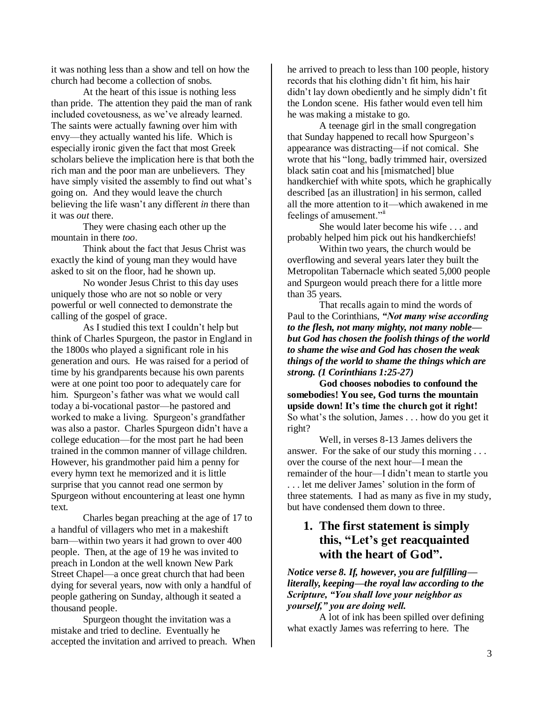it was nothing less than a show and tell on how the church had become a collection of snobs.

At the heart of this issue is nothing less than pride. The attention they paid the man of rank included covetousness, as we"ve already learned. The saints were actually fawning over him with envy—they actually wanted his life. Which is especially ironic given the fact that most Greek scholars believe the implication here is that both the rich man and the poor man are unbelievers. They have simply visited the assembly to find out what's going on. And they would leave the church believing the life wasn"t any different *in* there than it was *out* there.

They were chasing each other up the mountain in there *too*.

Think about the fact that Jesus Christ was exactly the kind of young man they would have asked to sit on the floor, had he shown up.

No wonder Jesus Christ to this day uses uniquely those who are not so noble or very powerful or well connected to demonstrate the calling of the gospel of grace.

As I studied this text I couldn"t help but think of Charles Spurgeon, the pastor in England in the 1800s who played a significant role in his generation and ours. He was raised for a period of time by his grandparents because his own parents were at one point too poor to adequately care for him. Spurgeon"s father was what we would call today a bi-vocational pastor—he pastored and worked to make a living. Spurgeon"s grandfather was also a pastor. Charles Spurgeon didn"t have a college education—for the most part he had been trained in the common manner of village children. However, his grandmother paid him a penny for every hymn text he memorized and it is little surprise that you cannot read one sermon by Spurgeon without encountering at least one hymn text.

Charles began preaching at the age of 17 to a handful of villagers who met in a makeshift barn—within two years it had grown to over 400 people. Then, at the age of 19 he was invited to preach in London at the well known New Park Street Chapel—a once great church that had been dying for several years, now with only a handful of people gathering on Sunday, although it seated a thousand people.

Spurgeon thought the invitation was a mistake and tried to decline. Eventually he accepted the invitation and arrived to preach. When he arrived to preach to less than 100 people, history records that his clothing didn"t fit him, his hair didn"t lay down obediently and he simply didn"t fit the London scene. His father would even tell him he was making a mistake to go.

A teenage girl in the small congregation that Sunday happened to recall how Spurgeon"s appearance was distracting—if not comical. She wrote that his "long, badly trimmed hair, oversized black satin coat and his [mismatched] blue handkerchief with white spots, which he graphically described [as an illustration] in his sermon, called all the more attention to it—which awakened in me feelings of amusement."

She would later become his wife . . . and probably helped him pick out his handkerchiefs!

Within two years, the church would be overflowing and several years later they built the Metropolitan Tabernacle which seated 5,000 people and Spurgeon would preach there for a little more than 35 years.

That recalls again to mind the words of Paul to the Corinthians, *"Not many wise according to the flesh, not many mighty, not many noble but God has chosen the foolish things of the world to shame the wise and God has chosen the weak things of the world to shame the things which are strong. (1 Corinthians 1:25-27)*

**God chooses nobodies to confound the somebodies! You see, God turns the mountain upside down! It's time the church got it right!** So what's the solution, James . . . how do you get it right?

Well, in verses 8-13 James delivers the answer. For the sake of our study this morning . . . over the course of the next hour—I mean the remainder of the hour—I didn"t mean to startle you ... let me deliver James' solution in the form of three statements. I had as many as five in my study, but have condensed them down to three.

# **1. The first statement is simply this, "Let's get reacquainted with the heart of God".**

*Notice verse 8. If, however, you are fulfilling literally, keeping—the royal law according to the Scripture, "You shall love your neighbor as yourself," you are doing well.*

A lot of ink has been spilled over defining what exactly James was referring to here. The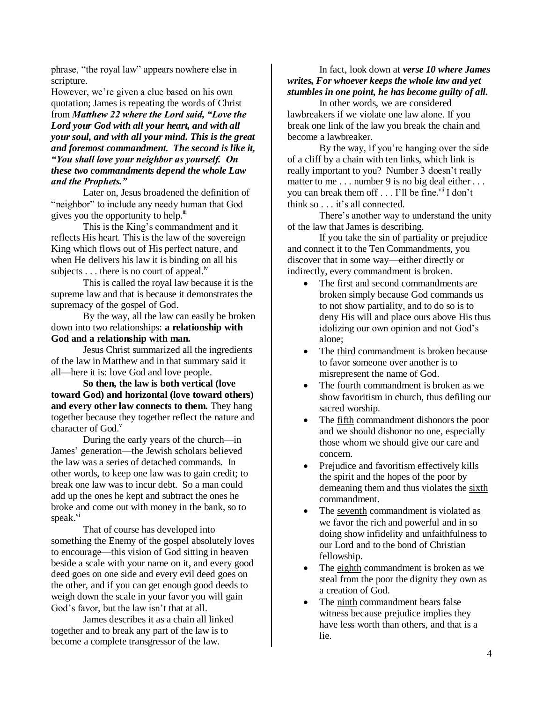phrase, "the royal law" appears nowhere else in scripture.

However, we"re given a clue based on his own quotation; James is repeating the words of Christ from *Matthew 22 where the Lord said, "Love the Lord your God with all your heart, and with all your soul, and with all your mind. This is the great and foremost commandment. The second is like it, "You shall love your neighbor as yourself. On these two commandments depend the whole Law and the Prophets."*

Later on, Jesus broadened the definition of "neighbor" to include any needy human that God gives you the opportunity to help. $\ddot{u}$ 

This is the King"s commandment and it reflects His heart. This is the law of the sovereign King which flows out of His perfect nature, and when He delivers his law it is binding on all his subjects  $\dots$  there is no court of appeal.<sup>iv</sup>

This is called the royal law because it is the supreme law and that is because it demonstrates the supremacy of the gospel of God.

By the way, all the law can easily be broken down into two relationships: **a relationship with God and a relationship with man.** 

Jesus Christ summarized all the ingredients of the law in Matthew and in that summary said it all—here it is: love God and love people.

**So then, the law is both vertical (love toward God) and horizontal (love toward others) and every other law connects to them.** They hang together because they together reflect the nature and character of  $God.$ <sup>v</sup>

During the early years of the church—in James" generation—the Jewish scholars believed the law was a series of detached commands. In other words, to keep one law was to gain credit; to break one law was to incur debt. So a man could add up the ones he kept and subtract the ones he broke and come out with money in the bank, so to speak.<sup>vi</sup>

That of course has developed into something the Enemy of the gospel absolutely loves to encourage—this vision of God sitting in heaven beside a scale with your name on it, and every good deed goes on one side and every evil deed goes on the other, and if you can get enough good deeds to weigh down the scale in your favor you will gain God's favor, but the law isn't that at all.

James describes it as a chain all linked together and to break any part of the law is to become a complete transgressor of the law.

#### In fact, look down at *verse 10 where James writes, For whoever keeps the whole law and yet stumbles in one point, he has become guilty of all.*

In other words, we are considered lawbreakers if we violate one law alone. If you break one link of the law you break the chain and become a lawbreaker.

By the way, if you're hanging over the side of a cliff by a chain with ten links, which link is really important to you? Number 3 doesn't really matter to me . . . number 9 is no big deal either . . . you can break them off . . . I'll be fine.<sup>vii</sup> I don't think so . . . it's all connected.

There's another way to understand the unity of the law that James is describing.

If you take the sin of partiality or prejudice and connect it to the Ten Commandments, you discover that in some way—either directly or indirectly, every commandment is broken.

- The first and second commandments are broken simply because God commands us to not show partiality, and to do so is to deny His will and place ours above His thus idolizing our own opinion and not God"s alone;
- The third commandment is broken because to favor someone over another is to misrepresent the name of God.
- The fourth commandment is broken as we show favoritism in church, thus defiling our sacred worship.
- The fifth commandment dishonors the poor and we should dishonor no one, especially those whom we should give our care and concern.
- Prejudice and favoritism effectively kills the spirit and the hopes of the poor by demeaning them and thus violates the sixth commandment.
- The seventh commandment is violated as we favor the rich and powerful and in so doing show infidelity and unfaithfulness to our Lord and to the bond of Christian fellowship.
- The eighth commandment is broken as we steal from the poor the dignity they own as a creation of God.
- The ninth commandment bears false witness because prejudice implies they have less worth than others, and that is a lie.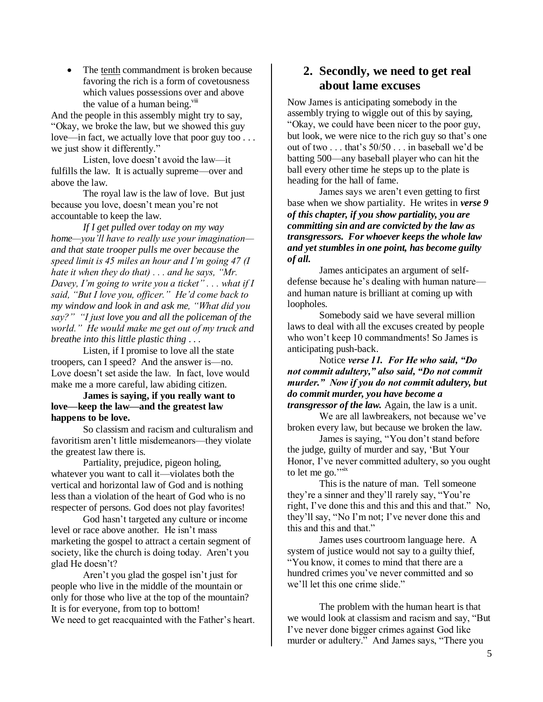• The tenth commandment is broken because favoring the rich is a form of covetousness which values possessions over and above the value of a human being. $v^{iii}$ 

And the people in this assembly might try to say, "Okay, we broke the law, but we showed this guy love—in fact, we actually love that poor guy too . . . we just show it differently."

Listen, love doesn"t avoid the law—it fulfills the law. It is actually supreme—over and above the law.

The royal law is the law of love. But just because you love, doesn"t mean you"re not accountable to keep the law.

*If I get pulled over today on my way home—you'll have to really use your imagination and that state trooper pulls me over because the speed limit is 45 miles an hour and I'm going 47 (I hate it when they do that) . . . and he says, "Mr. Davey, I'm going to write you a ticket" . . . what if I said, "But I love you, officer." He'd come back to my window and look in and ask me, "What did you say?" "I just love you and all the policeman of the world." He would make me get out of my truck and breathe into this little plastic thing . . .* 

Listen, if I promise to love all the state troopers, can I speed? And the answer is—no. Love doesn't set aside the law. In fact, love would make me a more careful, law abiding citizen.

#### **James is saying, if you really want to love—keep the law—and the greatest law happens to be love.**

So classism and racism and culturalism and favoritism aren"t little misdemeanors—they violate the greatest law there is.

Partiality, prejudice, pigeon holing, whatever you want to call it—violates both the vertical and horizontal law of God and is nothing less than a violation of the heart of God who is no respecter of persons. God does not play favorites!

God hasn"t targeted any culture or income level or race above another. He isn't mass marketing the gospel to attract a certain segment of society, like the church is doing today. Aren't you glad He doesn"t?

Aren't you glad the gospel isn't just for people who live in the middle of the mountain or only for those who live at the top of the mountain? It is for everyone, from top to bottom! We need to get reacquainted with the Father's heart.

## **2. Secondly, we need to get real about lame excuses**

Now James is anticipating somebody in the assembly trying to wiggle out of this by saying, "Okay, we could have been nicer to the poor guy, but look, we were nice to the rich guy so that's one out of two . . . that"s 50/50 . . . in baseball we"d be batting 500—any baseball player who can hit the ball every other time he steps up to the plate is heading for the hall of fame.

James says we aren"t even getting to first base when we show partiality. He writes in *verse 9 of this chapter, if you show partiality, you are committing sin and are convicted by the law as transgressors. For whoever keeps the whole law and yet stumbles in one point, has become guilty of all.*

James anticipates an argument of selfdefense because he"s dealing with human nature and human nature is brilliant at coming up with loopholes.

Somebody said we have several million laws to deal with all the excuses created by people who won't keep 10 commandments! So James is anticipating push-back.

Notice *verse 11. For He who said, "Do not commit adultery," also said, "Do not commit murder." Now if you do not commit adultery, but do commit murder, you have become a transgressor of the law.* Again, the law is a unit.

We are all lawbreakers, not because we've broken every law, but because we broken the law.

James is saying, "You don"t stand before the judge, guilty of murder and say, "But Your Honor, I've never committed adultery, so you ought to let me go." $\frac{1}{10}$ 

This is the nature of man. Tell someone they"re a sinner and they"ll rarely say, "You"re right, I've done this and this and this and that." No, they"ll say, "No I"m not; I"ve never done this and this and that."

James uses courtroom language here. A system of justice would not say to a guilty thief, "You know, it comes to mind that there are a hundred crimes you"ve never committed and so we"ll let this one crime slide."

The problem with the human heart is that we would look at classism and racism and say, "But I"ve never done bigger crimes against God like murder or adultery." And James says, "There you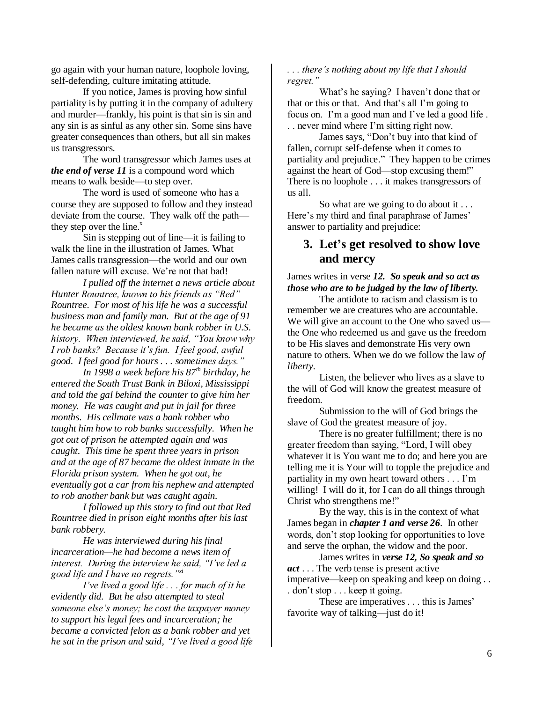go again with your human nature, loophole loving, self-defending, culture imitating attitude.

If you notice, James is proving how sinful partiality is by putting it in the company of adultery and murder—frankly, his point is that sin is sin and any sin is as sinful as any other sin. Some sins have greater consequences than others, but all sin makes us transgressors.

The word transgressor which James uses at *the end of verse 11* is a compound word which means to walk beside—to step over.

The word is used of someone who has a course they are supposed to follow and they instead deviate from the course. They walk off the path they step over the line. $x^x$ 

Sin is stepping out of line—it is failing to walk the line in the illustration of James. What James calls transgression—the world and our own fallen nature will excuse. We're not that bad!

*I pulled off the internet a news article about Hunter Rountree, known to his friends as "Red" Rountree. For most of his life he was a successful business man and family man. But at the age of 91 he became as the oldest known bank robber in U.S. history. When interviewed, he said, "You know why I rob banks? Because it's fun. I feel good, awful good. I feel good for hours . . . sometimes days."* 

*In 1998 a week before his 87th birthday, he entered the South Trust Bank in Biloxi, Mississippi and told the gal behind the counter to give him her money. He was caught and put in jail for three months. His cellmate was a bank robber who taught him how to rob banks successfully. When he got out of prison he attempted again and was caught. This time he spent three years in prison and at the age of 87 became the oldest inmate in the Florida prison system. When he got out, he eventually got a car from his nephew and attempted to rob another bank but was caught again.* 

*I followed up this story to find out that Red Rountree died in prison eight months after his last bank robbery.*

*He was interviewed during his final incarceration—he had become a news item of interest. During the interview he said, "I've led a good life and I have no regrets."xi*

*I've lived a good life . . . for much of it he evidently did. But he also attempted to steal someone else's money; he cost the taxpayer money to support his legal fees and incarceration; he became a convicted felon as a bank robber and yet he sat in the prison and said, "I've lived a good life* 

#### *. . . there's nothing about my life that I should regret."*

What's he saying? I haven't done that or that or this or that. And that"s all I"m going to focus on. I"m a good man and I"ve led a good life . . . never mind where I"m sitting right now.

James says, "Don"t buy into that kind of fallen, corrupt self-defense when it comes to partiality and prejudice." They happen to be crimes against the heart of God—stop excusing them!" There is no loophole . . . it makes transgressors of us all.

So what are we going to do about it . . . Here's my third and final paraphrase of James' answer to partiality and prejudice:

## **3. Let's get resolved to show love and mercy**

#### James writes in verse *12. So speak and so act as those who are to be judged by the law of liberty.*

The antidote to racism and classism is to remember we are creatures who are accountable. We will give an account to the One who saved us the One who redeemed us and gave us the freedom to be His slaves and demonstrate His very own nature to others. When we do we follow the law *of liberty*.

Listen, the believer who lives as a slave to the will of God will know the greatest measure of freedom.

Submission to the will of God brings the slave of God the greatest measure of joy.

There is no greater fulfillment; there is no greater freedom than saying, "Lord, I will obey whatever it is You want me to do; and here you are telling me it is Your will to topple the prejudice and partiality in my own heart toward others . . . I"m willing! I will do it, for I can do all things through Christ who strengthens me!"

By the way, this is in the context of what James began in *chapter 1 and verse 26*. In other words, don"t stop looking for opportunities to love and serve the orphan, the widow and the poor.

James writes in *verse 12, So speak and so act* . . . The verb tense is present active imperative—keep on speaking and keep on doing . . . don"t stop . . . keep it going.

These are imperatives . . . this is James' favorite way of talking—just do it!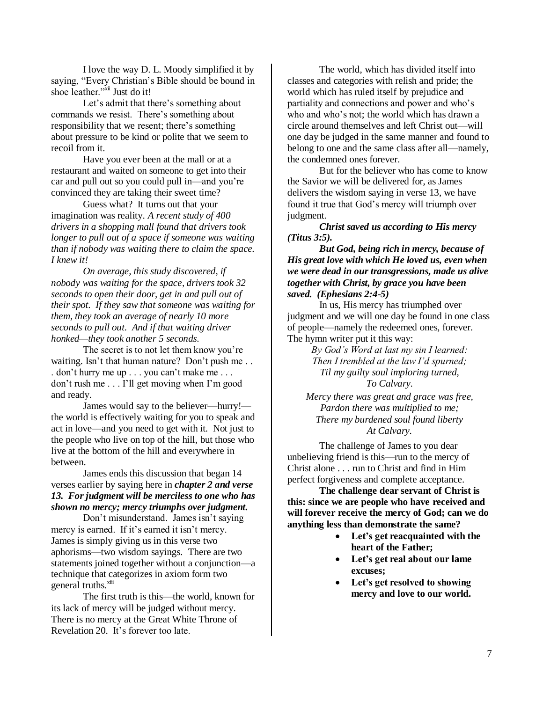I love the way D. L. Moody simplified it by saying, "Every Christian's Bible should be bound in shoe leather."<sup>xii</sup> Just do it!

Let's admit that there's something about commands we resist. There"s something about responsibility that we resent; there's something about pressure to be kind or polite that we seem to recoil from it.

Have you ever been at the mall or at a restaurant and waited on someone to get into their car and pull out so you could pull in—and you"re convinced they are taking their sweet time?

Guess what? It turns out that your imagination was reality. *A recent study of 400 drivers in a shopping mall found that drivers took longer to pull out of a space if someone was waiting than if nobody was waiting there to claim the space. I knew it!*

*On average, this study discovered, if nobody was waiting for the space, drivers took 32 seconds to open their door, get in and pull out of their spot. If they saw that someone was waiting for them, they took an average of nearly 10 more seconds to pull out. And if that waiting driver honked—they took another 5 seconds.*

The secret is to not let them know you"re waiting. Isn't that human nature? Don't push me... . don"t hurry me up . . . you can"t make me . . . don"t rush me . . . I"ll get moving when I"m good and ready.

James would say to the believer—hurry! the world is effectively waiting for you to speak and act in love—and you need to get with it. Not just to the people who live on top of the hill, but those who live at the bottom of the hill and everywhere in between.

James ends this discussion that began 14 verses earlier by saying here in *chapter 2 and verse 13. For judgment will be merciless to one who has shown no mercy; mercy triumphs over judgment.*

Don't misunderstand. James isn't saying mercy is earned. If it's earned it isn't mercy. James is simply giving us in this verse two aphorisms—two wisdom sayings. There are two statements joined together without a conjunction—a technique that categorizes in axiom form two general truths.<sup>xiii</sup>

The first truth is this—the world, known for its lack of mercy will be judged without mercy. There is no mercy at the Great White Throne of Revelation 20. It's forever too late.

The world, which has divided itself into classes and categories with relish and pride; the world which has ruled itself by prejudice and partiality and connections and power and who"s who and who"s not; the world which has drawn a circle around themselves and left Christ out—will one day be judged in the same manner and found to belong to one and the same class after all—namely, the condemned ones forever.

But for the believer who has come to know the Savior we will be delivered for, as James delivers the wisdom saying in verse 13, we have found it true that God"s mercy will triumph over judgment.

*Christ saved us according to His mercy (Titus 3:5).*

*But God, being rich in mercy, because of His great love with which He loved us, even when we were dead in our transgressions, made us alive together with Christ, by grace you have been saved. (Ephesians 2:4-5)*

In us, His mercy has triumphed over judgment and we will one day be found in one class of people—namely the redeemed ones, forever. The hymn writer put it this way:

> *By God's Word at last my sin I learned: Then I trembled at the law I'd spurned; Til my guilty soul imploring turned, To Calvary.*

*Mercy there was great and grace was free, Pardon there was multiplied to me; There my burdened soul found liberty At Calvary.*

The challenge of James to you dear unbelieving friend is this—run to the mercy of Christ alone . . . run to Christ and find in Him perfect forgiveness and complete acceptance.

**The challenge dear servant of Christ is this: since we are people who have received and will forever receive the mercy of God; can we do anything less than demonstrate the same?**

- **Let's get reacquainted with the heart of the Father;**
- **Let's get real about our lame excuses;**
- **Let's get resolved to showing mercy and love to our world.**